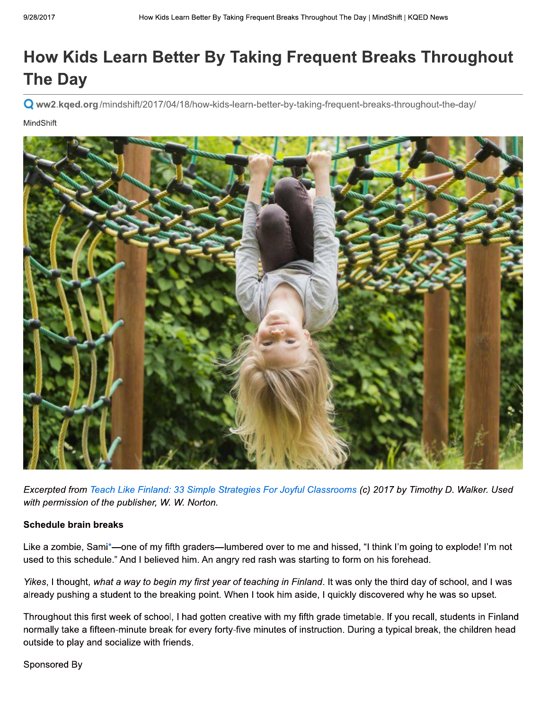## How Kids Learn Better By Taking Frequent Breaks Throughout **The Day**

O ww2.kged.org/mindshift/2017/04/18/how-kids-learn-better-by-taking-frequent-breaks-throughout-the-day/

MindShift



Excerpted from Teach Like Finland: 33 Simple Strategies For Joyful Classrooms (c) 2017 by Timothy D. Walker. Used with permission of the publisher, W. W. Norton.

## **Schedule brain breaks**

Like a zombie, Sami\*-one of my fifth graders-lumbered over to me and hissed, "I think I'm going to explode! I'm not used to this schedule." And I believed him. An angry red rash was starting to form on his forehead.

Yikes, I thought, what a way to begin my first year of teaching in Finland. It was only the third day of school, and I was already pushing a student to the breaking point. When I took him aside, I quickly discovered why he was so upset.

Throughout this first week of school, I had gotten creative with my fifth grade timetable. If you recall, students in Finland normally take a fifteen-minute break for every forty-five minutes of instruction. During a typical break, the children head outside to play and socialize with friends.

Sponsored By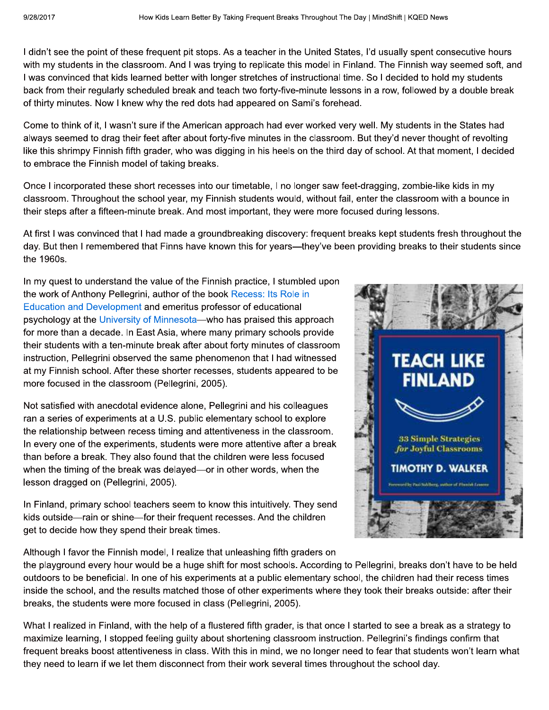I didn't see the point of these frequent pit stops. As a teacher in the United States, I'd usually spent consecutive hours with my students in the classroom. And I was trying to replicate this model in Finland. The Finnish way seemed soft, and I was convinced that kids learned better with longer stretches of instructional time. So I decided to hold my students back from their regularly scheduled break and teach two forty-five-minute lessons in a row, followed by a double break of thirty minutes. Now I knew why the red dots had appeared on Sami's forehead.

Come to think of it, I wasn't sure if the American approach had ever worked very well. My students in the States had always seemed to drag their feet after about forty-five minutes in the classroom. But they'd never thought of revolting like this shrimpy Finnish fifth grader, who was digging in his heels on the third day of school. At that moment, I decided to embrace the Finnish model of taking breaks.

Once I incorporated these short recesses into our timetable, I no longer saw feet-dragging, zombie-like kids in my classroom. Throughout the school year, my Finnish students would, without fail, enter the classroom with a bounce in their steps after a fifteen-minute break. And most important, they were more focused during lessons.

At first I was convinced that I had made a groundbreaking discovery: frequent breaks kept students fresh throughout the day. But then I remembered that Finns have known this for years—they've been providing breaks to their students since the 1960s.

In my quest to understand the value of the Finnish practice, I stumbled upon the work of Anthony Pellegrini, author of the book Recess: Its Role in Education and Development and emeritus professor of educational psychology at the University of Minnesota—who has praised this approach for more than a decade. In East Asia, where many primary schools provide their students with a ten-minute break after about forty minutes of classroom instruction, Pellegrini observed the same phenomenon that I had witnessed at my Finnish school. After these shorter recesses, students appeared to be more focused in the classroom (Pellegrini, 2005).

Not satisfied with anecdotal evidence alone, Pellegrini and his colleagues ran a series of experiments at a U.S. public elementary school to explore the relationship between recess timing and attentiveness in the classroom. In every one of the experiments, students were more attentive after a break than before a break. They also found that the children were less focused when the timing of the break was delayed—or in other words, when the lesson dragged on (Pellegrini, 2005).

In Finland, primary school teachers seem to know this intuitively. They send kids outside-rain or shine-for their frequent recesses. And the children get to decide how they spend their break times.

Although I favor the Finnish model, I realize that unleashing fifth graders on



the playground every hour would be a huge shift for most schools. According to Pellegrini, breaks don't have to be held outdoors to be beneficial. In one of his experiments at a public elementary school, the children had their recess times inside the school, and the results matched those of other experiments where they took their breaks outside: after their breaks, the students were more focused in class (Pellegrini, 2005).

What I realized in Finland, with the help of a flustered fifth grader, is that once I started to see a break as a strategy to maximize learning, I stopped feeling guilty about shortening classroom instruction. Pellegrini's findings confirm that frequent breaks boost attentiveness in class. With this in mind, we no longer need to fear that students won't learn what they need to learn if we let them disconnect from their work several times throughout the school day.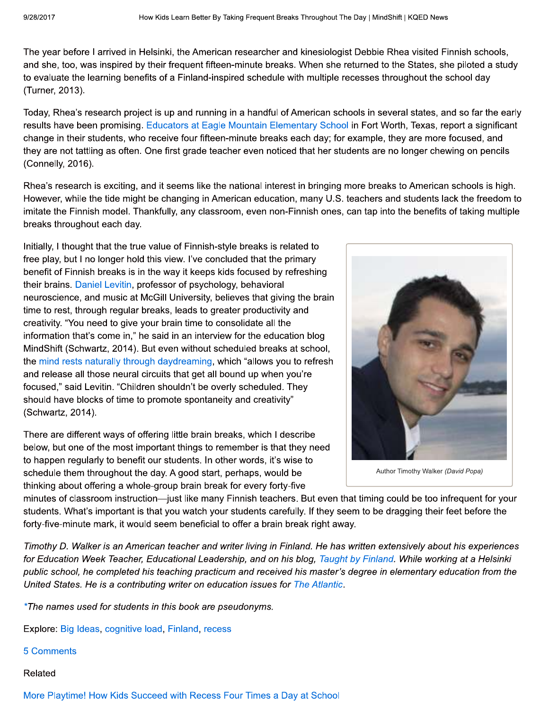The year before I arrived in Helsinki, the American researcher and kinesiologist Debbie Rhea visited Finnish schools, and she, too, was inspired by their frequent fifteen-minute breaks. When she returned to the States, she piloted a study to evaluate the learning benefits of a Finland-inspired schedule with multiple recesses throughout the school day (Turner, 2013).

Today, Rhea's research project is up and running in a handful of American schools in several states, and so far the early results have been promising. Educators at Eagle Mountain Elementary School in Fort Worth, Texas, report a significant change in their students, who receive four fifteen-minute breaks each day; for example, they are more focused, and they are not tattling as often. One first grade teacher even noticed that her students are no longer chewing on pencils (Connelly, 2016).

Rhea's research is exciting, and it seems like the national interest in bringing more breaks to American schools is high. However, while the tide might be changing in American education, many U.S. teachers and students lack the freedom to imitate the Finnish model. Thankfully, any classroom, even non-Finnish ones, can tap into the benefits of taking multiple breaks throughout each day.

Initially, I thought that the true value of Finnish-style breaks is related to free play, but I no longer hold this view. I've concluded that the primary benefit of Finnish breaks is in the way it keeps kids focused by refreshing their brains. Daniel Levitin, professor of psychology, behavioral neuroscience, and music at McGill University, believes that giving the brain time to rest, through regular breaks, leads to greater productivity and creativity. "You need to give your brain time to consolidate all the information that's come in," he said in an interview for the education blog MindShift (Schwartz, 2014). But even without scheduled breaks at school, the mind rests naturally through daydreaming, which "allows you to refresh" and release all those neural circuits that get all bound up when you're focused," said Levitin. "Children shouldn't be overly scheduled. They should have blocks of time to promote spontaneity and creativity" (Schwartz, 2014).

There are different ways of offering little brain breaks, which I describe below, but one of the most important things to remember is that they need to happen regularly to benefit our students. In other words, it's wise to schedule them throughout the day. A good start, perhaps, would be thinking about offering a whole-group brain break for every forty-five



Author Timothy Walker (David Popa)

minutes of classroom instruction—just like many Finnish teachers. But even that timing could be too infrequent for your students. What's important is that you watch your students carefully. If they seem to be dragging their feet before the forty-five-minute mark, it would seem beneficial to offer a brain break right away.

Timothy D. Walker is an American teacher and writer living in Finland. He has written extensively about his experiences for Education Week Teacher, Educational Leadership, and on his blog, Taught by Finland. While working at a Helsinki public school, he completed his teaching practicum and received his master's degree in elementary education from the United States. He is a contributing writer on education issues for The Atlantic.

\*The names used for students in this book are pseudonyms.

Explore: Big Ideas, cognitive load, Finland, recess

## **5 Comments**

Related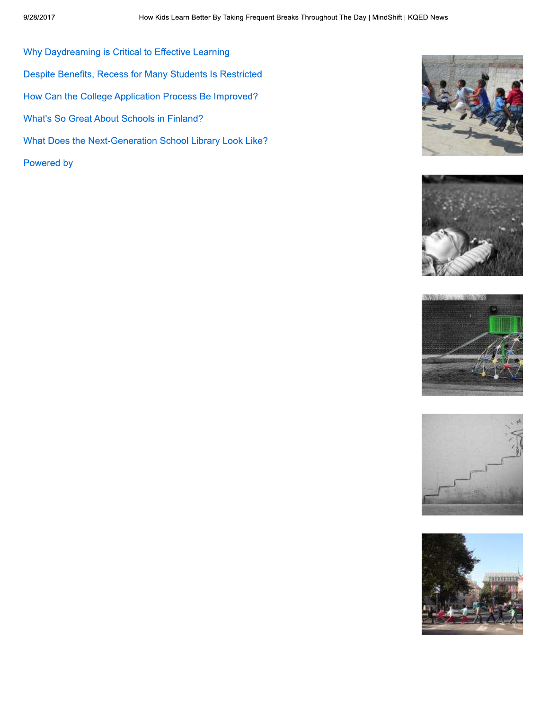Why Daydreaming is Critical to Effective Learning Despite Benefits, Recess for Many Students Is Restricted How Can the College Application Process Be Improved? What's So Great About Schools in Finland? What Does the Next-Generation School Library Look Like? Powered by